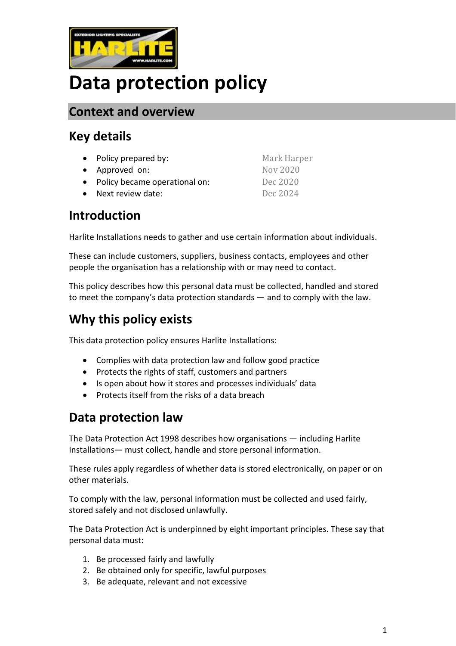

# **Data protection policy**

#### **Context and overview**

## **Key details**

| • Policy prepared by:           | Mark Harper |
|---------------------------------|-------------|
| • Approved on:                  | Nov 2020    |
| • Policy became operational on: | Dec 2020    |
| • Next review date:             | Dec 2024    |

## **Introduction**

Harlite Installations needs to gather and use certain information about individuals.

These can include customers, suppliers, business contacts, employees and other people the organisation has a relationship with or may need to contact.

This policy describes how this personal data must be collected, handled and stored to meet the company's data protection standards — and to comply with the law.

# **Why this policy exists**

This data protection policy ensures Harlite Installations:

- Complies with data protection law and follow good practice
- Protects the rights of staff, customers and partners
- Is open about how it stores and processes individuals' data
- Protects itself from the risks of a data breach

## **Data protection law**

The Data Protection Act 1998 describes how organisations — including Harlite Installations— must collect, handle and store personal information.

These rules apply regardless of whether data is stored electronically, on paper or on other materials.

To comply with the law, personal information must be collected and used fairly, stored safely and not disclosed unlawfully.

The Data Protection Act is underpinned by eight important principles. These say that personal data must:

- 1. Be processed fairly and lawfully
- 2. Be obtained only for specific, lawful purposes
- 3. Be adequate, relevant and not excessive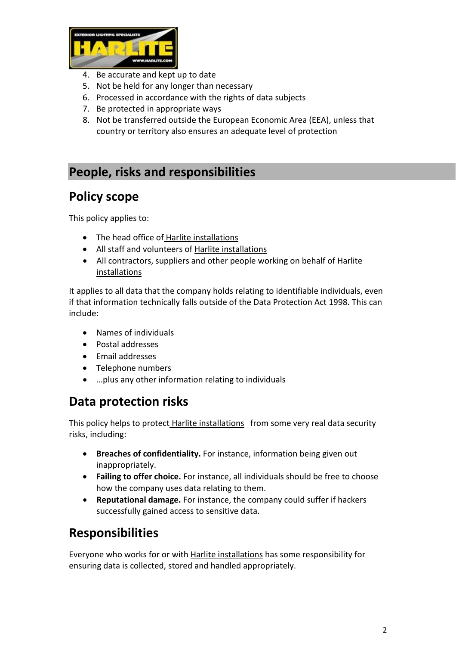

- 4. Be accurate and kept up to date
- 5. Not be held for any longer than necessary
- 6. Processed in accordance with the rights of data subjects
- 7. Be protected in appropriate ways
- 8. Not be transferred outside the European Economic Area (EEA), unless that country or territory also ensures an adequate level of protection

## **People, risks and responsibilities**

#### **Policy scope**

This policy applies to:

- The head office of Harlite installations
- All staff and volunteers of Harlite installations
- All contractors, suppliers and other people working on behalf of Harlite installations

It applies to all data that the company holds relating to identifiable individuals, even if that information technically falls outside of the Data Protection Act 1998. This can include:

- Names of individuals
- Postal addresses
- Email addresses
- Telephone numbers
- …plus any other information relating to individuals

## **Data protection risks**

This policy helps to protect Harlite installations from some very real data security risks, including:

- **Breaches of confidentiality.** For instance, information being given out inappropriately.
- **Failing to offer choice.** For instance, all individuals should be free to choose how the company uses data relating to them.
- **Reputational damage.** For instance, the company could suffer if hackers successfully gained access to sensitive data.

## **Responsibilities**

Everyone who works for or with Harlite installations has some responsibility for ensuring data is collected, stored and handled appropriately.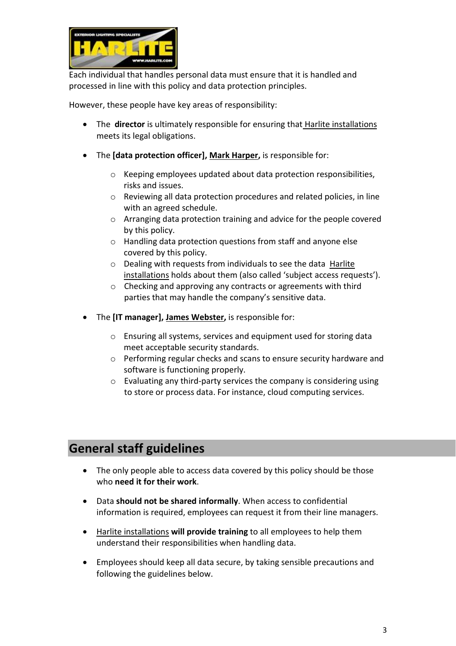

Each individual that handles personal data must ensure that it is handled and processed in line with this policy and data protection principles.

However, these people have key areas of responsibility:

- The **director** is ultimately responsible for ensuring that Harlite installations meets its legal obligations.
- The **[data protection officer], Mark Harper,** is responsible for:
	- o Keeping employees updated about data protection responsibilities, risks and issues.
	- o Reviewing all data protection procedures and related policies, in line with an agreed schedule.
	- o Arranging data protection training and advice for the people covered by this policy.
	- o Handling data protection questions from staff and anyone else covered by this policy.
	- o Dealing with requests from individuals to see the data Harlite installations holds about them (also called 'subject access requests').
	- o Checking and approving any contracts or agreements with third parties that may handle the company's sensitive data.
- The **[IT manager], James Webster,** is responsible for:
	- o Ensuring all systems, services and equipment used for storing data meet acceptable security standards.
	- o Performing regular checks and scans to ensure security hardware and software is functioning properly.
	- o Evaluating any third-party services the company is considering using to store or process data. For instance, cloud computing services.

## **General staff guidelines**

- The only people able to access data covered by this policy should be those who **need it for their work**.
- Data **should not be shared informally**. When access to confidential information is required, employees can request it from their line managers.
- Harlite installations **will provide training** to all employees to help them understand their responsibilities when handling data.
- Employees should keep all data secure, by taking sensible precautions and following the guidelines below.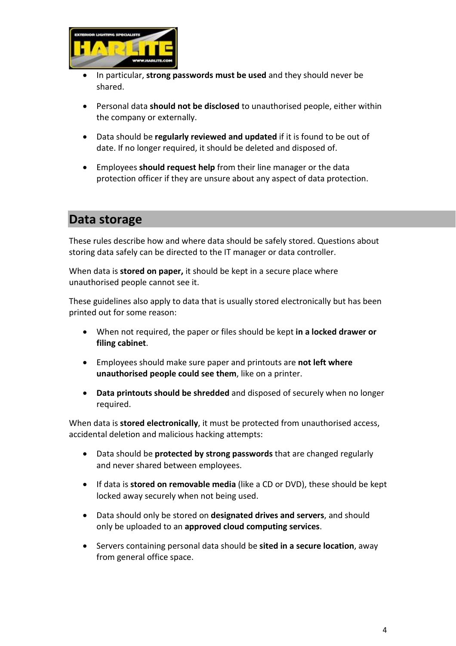

- In particular, **strong passwords must be used** and they should never be shared.
- Personal data **should not be disclosed** to unauthorised people, either within the company or externally.
- Data should be **regularly reviewed and updated** if it is found to be out of date. If no longer required, it should be deleted and disposed of.
- Employees **should request help** from their line manager or the data protection officer if they are unsure about any aspect of data protection.

#### **Data storage**

These rules describe how and where data should be safely stored. Questions about storing data safely can be directed to the IT manager or data controller.

When data is **stored on paper,** it should be kept in a secure place where unauthorised people cannot see it.

These guidelines also apply to data that is usually stored electronically but has been printed out for some reason:

- When not required, the paper or files should be kept **in a locked drawer or filing cabinet**.
- Employees should make sure paper and printouts are **not left where unauthorised people could see them**, like on a printer.
- **Data printouts should be shredded** and disposed of securely when no longer required.

When data is **stored electronically**, it must be protected from unauthorised access, accidental deletion and malicious hacking attempts:

- Data should be **protected by strong passwords** that are changed regularly and never shared between employees.
- If data is **stored on removable media** (like a CD or DVD), these should be kept locked away securely when not being used.
- Data should only be stored on **designated drives and servers**, and should only be uploaded to an **approved cloud computing services**.
- Servers containing personal data should be **sited in a secure location**, away from general office space.